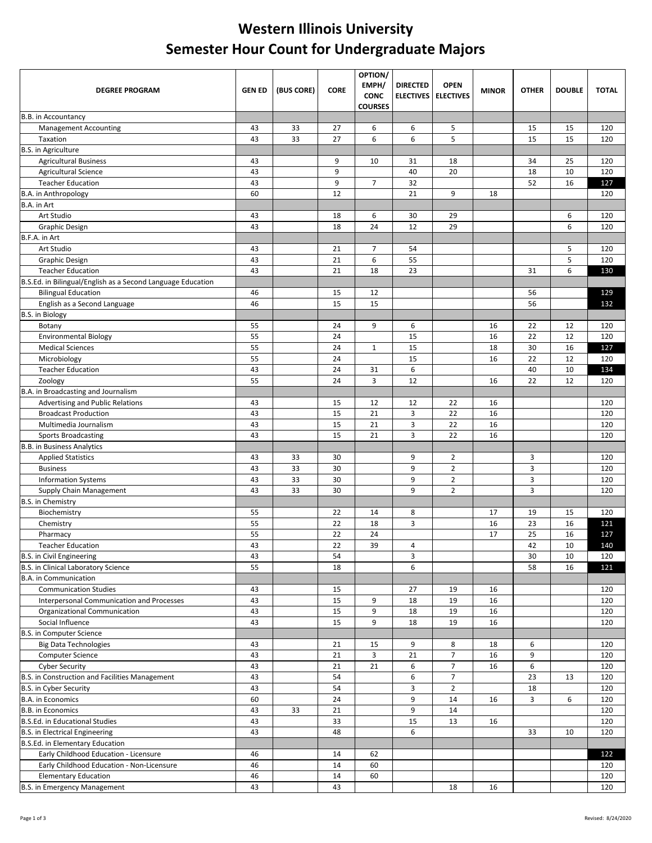## **Western Illinois University Semester Hour Count for Undergraduate Majors**

| <b>DEGREE PROGRAM</b>                                            | <b>GEN ED</b> | (BUS CORE) | <b>CORE</b> | OPTION/<br>EMPH/<br><b>CONC</b><br><b>COURSES</b> | <b>DIRECTED</b> | <b>OPEN</b><br><b>ELECTIVES ELECTIVES</b> | <b>MINOR</b> | <b>OTHER</b> | <b>DOUBLE</b> | <b>TOTAL</b> |
|------------------------------------------------------------------|---------------|------------|-------------|---------------------------------------------------|-----------------|-------------------------------------------|--------------|--------------|---------------|--------------|
| B.B. in Accountancy                                              |               |            |             |                                                   |                 |                                           |              |              |               |              |
| <b>Management Accounting</b>                                     | 43            | 33         | 27          | 6                                                 | 6               | 5                                         |              | 15           | 15            | 120          |
| Taxation                                                         | 43            | 33         | 27          | 6                                                 | 6               | 5                                         |              | 15           | 15            | 120          |
| <b>B.S.</b> in Agriculture                                       |               |            |             |                                                   |                 |                                           |              |              |               |              |
| <b>Agricultural Business</b>                                     | 43            |            | 9           | 10                                                | 31              | 18                                        |              | 34           | 25            | 120          |
| <b>Agricultural Science</b>                                      | 43            |            | 9           |                                                   | 40              | 20                                        |              | 18           | 10            | 120          |
| <b>Teacher Education</b>                                         | 43            |            | 9           | $\overline{7}$                                    | 32              |                                           |              | 52           | 16            | 127          |
| <b>B.A.</b> in Anthropology                                      | 60            |            | 12          |                                                   | 21              | 9                                         | 18           |              |               | 120          |
| B.A. in Art                                                      |               |            |             |                                                   |                 |                                           |              |              |               |              |
| Art Studio                                                       | 43            |            | 18          | 6                                                 | 30              | 29                                        |              |              | 6             | 120          |
| <b>Graphic Design</b>                                            | 43            |            | 18          | 24                                                | 12              | 29                                        |              |              | 6             | 120          |
| B.F.A. in Art                                                    |               |            |             |                                                   |                 |                                           |              |              |               |              |
| Art Studio                                                       | 43            |            | 21          | $\overline{7}$                                    | 54              |                                           |              |              | 5             | 120          |
| <b>Graphic Design</b>                                            | 43            |            | 21          | 6                                                 | 55              |                                           |              |              | 5             | 120          |
| <b>Teacher Education</b>                                         | 43            |            | 21          | 18                                                | 23              |                                           |              | 31           | 6             | 130          |
| B.S.Ed. in Bilingual/English as a Second Language Education      |               |            |             |                                                   |                 |                                           |              |              |               |              |
| <b>Bilingual Education</b>                                       | 46            |            | 15          | 12                                                |                 |                                           |              | 56           |               | 129          |
| English as a Second Language                                     | 46            |            | 15          | 15                                                |                 |                                           |              | 56           |               | 132          |
| <b>B.S. in Biology</b>                                           |               |            |             |                                                   |                 |                                           |              |              |               |              |
| Botany                                                           | 55            |            | 24          | 9                                                 | 6               |                                           | 16           | 22           | 12            | 120          |
| <b>Environmental Biology</b>                                     | 55            |            | 24          |                                                   | 15              |                                           | 16           | 22           | 12            | 120          |
| <b>Medical Sciences</b>                                          | 55            |            | 24          | $\mathbf{1}$                                      | 15              |                                           | 18           | 30           | 16            | 127          |
| Microbiology                                                     | 55            |            | 24          |                                                   | 15              |                                           | 16           | 22           | 12            | 120          |
| <b>Teacher Education</b>                                         | 43            |            | 24          | 31                                                | 6               |                                           |              | 40           | 10            | 134          |
| Zoology                                                          | 55            |            | 24          | 3                                                 | 12              |                                           | 16           | 22           | 12            | 120          |
| B.A. in Broadcasting and Journalism                              |               |            |             |                                                   |                 |                                           |              |              |               |              |
| Advertising and Public Relations                                 | 43            |            | 15          | 12                                                | 12              | 22                                        | 16           |              |               | 120          |
| <b>Broadcast Production</b>                                      | 43            |            | 15          | 21                                                | 3               | 22                                        | 16           |              |               | 120          |
| Multimedia Journalism                                            | 43            |            | 15          | 21                                                | 3               | 22                                        | 16           |              |               | 120          |
| <b>Sports Broadcasting</b>                                       | 43            |            | 15          | 21                                                | 3               | 22                                        | 16           |              |               | 120          |
| <b>B.B.</b> in Business Analytics                                |               |            |             |                                                   |                 |                                           |              |              |               |              |
| <b>Applied Statistics</b>                                        | 43            | 33         | 30          |                                                   | 9               | $\overline{2}$                            |              | 3            |               | 120          |
| <b>Business</b>                                                  | 43            | 33         | 30          |                                                   | 9               | $\overline{2}$                            |              | 3            |               | 120          |
| <b>Information Systems</b>                                       | 43            | 33         | 30          |                                                   | 9               | $\overline{2}$                            |              | 3            |               | 120          |
| Supply Chain Management                                          | 43            | 33         | 30          |                                                   | 9               | $\overline{2}$                            |              | 3            |               | 120          |
| <b>B.S.</b> in Chemistry                                         |               |            |             |                                                   |                 |                                           |              |              |               |              |
| Biochemistry                                                     | 55            |            | 22          | 14                                                | 8               |                                           | 17           | 19           | 15            | 120          |
| Chemistry                                                        | 55            |            | 22          | 18                                                | 3               |                                           | 16           | 23           | 16            | 121          |
| Pharmacy                                                         | 55            |            | 22          | 24                                                |                 |                                           | 17           | 25           | 16            | 127          |
| Teacher Education                                                | 43            |            | 22<br>54    | 39                                                | 4               |                                           |              | 42           | 10            | 140          |
| B.S. in Civil Engineering<br>B.S. in Clinical Laboratory Science | 43            |            | 18          |                                                   | 3               |                                           |              | 30           | 10            | 120          |
| <b>B.A.</b> in Communication                                     | 55            |            |             |                                                   | 6               |                                           |              | 58           | 16            | 121          |
| <b>Communication Studies</b>                                     | 43            |            | 15          |                                                   | 27              | 19                                        | 16           |              |               | 120          |
| Interpersonal Communication and Processes                        | 43            |            | 15          | 9                                                 | 18              | 19                                        | 16           |              |               |              |
|                                                                  |               |            |             | 9                                                 |                 |                                           |              |              |               | 120          |
| Organizational Communication<br>Social Influence                 | 43<br>43      |            | 15<br>15    | 9                                                 | 18<br>18        | 19<br>19                                  | 16<br>16     |              |               | 120<br>120   |
| B.S. in Computer Science                                         |               |            |             |                                                   |                 |                                           |              |              |               |              |
| <b>Big Data Technologies</b>                                     | 43            |            | 21          | 15                                                | 9               | 8                                         | 18           | 6            |               | 120          |
| <b>Computer Science</b>                                          | 43            |            | 21          | 3                                                 | 21              | $\overline{7}$                            | 16           | 9            |               | 120          |
| <b>Cyber Security</b>                                            | 43            |            | 21          | 21                                                | 6               | $\overline{7}$                            | 16           | 6            |               | 120          |
| B.S. in Construction and Facilities Management                   | 43            |            | 54          |                                                   | 6               | $\overline{7}$                            |              | 23           | 13            | 120          |
| B.S. in Cyber Security                                           | 43            |            | 54          |                                                   | 3               | $\overline{2}$                            |              | 18           |               | 120          |
| B.A. in Economics                                                | 60            |            | 24          |                                                   | 9               | 14                                        | 16           | 3            | 6             | 120          |
| B.B. in Economics                                                | 43            | 33         | 21          |                                                   | 9               | 14                                        |              |              |               | 120          |
| B.S.Ed. in Educational Studies                                   | 43            |            | 33          |                                                   | 15              | 13                                        | 16           |              |               | 120          |
| B.S. in Electrical Engineering                                   | 43            |            | 48          |                                                   | 6               |                                           |              | 33           | 10            | 120          |
| B.S.Ed. in Elementary Education                                  |               |            |             |                                                   |                 |                                           |              |              |               |              |
| Early Childhood Education - Licensure                            | 46            |            | 14          | 62                                                |                 |                                           |              |              |               | 122          |
| Early Childhood Education - Non-Licensure                        | 46            |            | 14          | 60                                                |                 |                                           |              |              |               | 120          |
| <b>Elementary Education</b>                                      | 46            |            | 14          | 60                                                |                 |                                           |              |              |               | 120          |
| B.S. in Emergency Management                                     | 43            |            | 43          |                                                   |                 | 18                                        | 16           |              |               | 120          |
|                                                                  |               |            |             |                                                   |                 |                                           |              |              |               |              |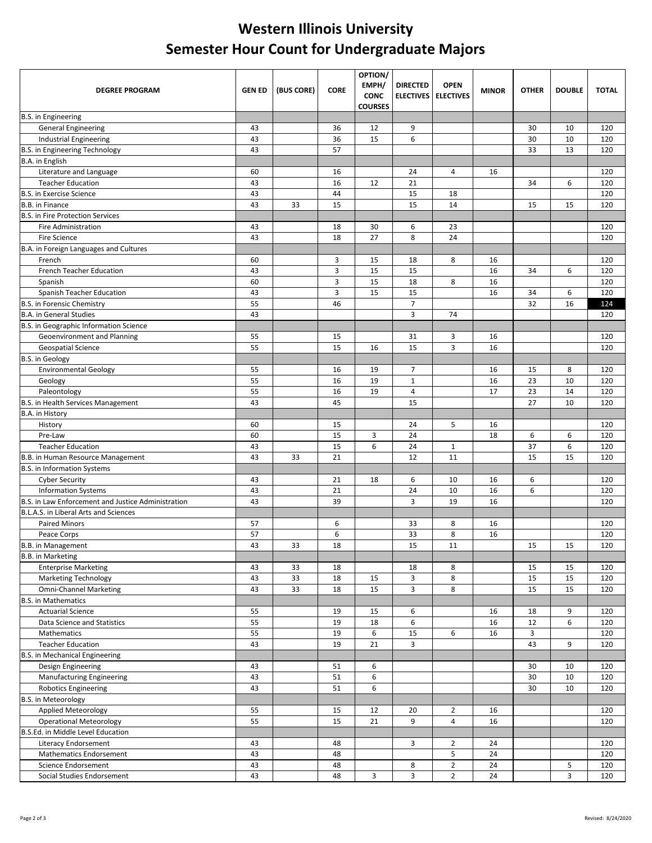## **Western Illinois University Semester Hour Count for Undergraduate Majors**

| <b>DEGREE PROGRAM</b>                              | <b>GEN ED</b> | (BUS CORE) | <b>CORE</b> | OPTION/<br>EMPH/<br><b>CONC</b><br><b>COURSES</b> | <b>DIRECTED</b><br><b>ELECTIVES</b> | <b>OPEN</b><br><b>ELECTIVES</b>  | <b>MINOR</b> | <b>OTHER</b> | <b>DOUBLE</b> | <b>TOTAL</b> |
|----------------------------------------------------|---------------|------------|-------------|---------------------------------------------------|-------------------------------------|----------------------------------|--------------|--------------|---------------|--------------|
| <b>B.S.</b> in Engineering                         |               |            |             |                                                   |                                     |                                  |              |              |               |              |
| <b>General Engineering</b>                         | 43            |            | 36          | 12                                                | 9                                   |                                  |              | 30           | 10            | 120          |
| <b>Industrial Engineering</b>                      | 43            |            | 36          | 15                                                | 6                                   |                                  |              | 30           | 10            | 120          |
| B.S. in Engineering Technology                     | 43            |            | 57          |                                                   |                                     |                                  |              | 33           | 13            | 120          |
| B.A. in English                                    |               |            |             |                                                   |                                     |                                  |              |              |               |              |
| Literature and Language                            | 60            |            | 16          |                                                   | 24                                  | 4                                | 16           |              |               | 120          |
| <b>Teacher Education</b>                           | 43            |            | 16          | 12                                                | 21                                  |                                  |              | 34           | 6             | 120          |
| <b>B.S. in Exercise Science</b>                    | 43            |            | 44          |                                                   | 15                                  | 18                               |              |              |               | 120          |
| <b>B.B.</b> in Finance                             | 43            | 33         | 15          |                                                   | 15                                  | 14                               |              | 15           | 15            | 120          |
| <b>B.S. in Fire Protection Services</b>            |               |            |             |                                                   |                                     |                                  |              |              |               |              |
| <b>Fire Administration</b>                         | 43            |            | 18          | 30                                                | 6                                   | 23                               |              |              |               | 120          |
| <b>Fire Science</b>                                | 43            |            | 18          | 27                                                | 8                                   | 24                               |              |              |               | 120          |
| B.A. in Foreign Languages and Cultures             |               |            |             |                                                   |                                     |                                  |              |              |               |              |
| French                                             | 60            |            | 3           | 15                                                | 18                                  | 8                                | 16           |              |               | 120          |
| French Teacher Education                           | 43            |            | 3           | 15                                                | 15                                  |                                  | 16           | 34           | 6             | 120          |
| Spanish<br>Spanish Teacher Education               | 60            |            | 3<br>3      | 15<br>15                                          | 18                                  | 8                                | 16           |              |               | 120<br>120   |
| <b>B.S. in Forensic Chemistry</b>                  | 43<br>55      |            | 46          |                                                   | 15<br>$\overline{7}$                |                                  | 16           | 34<br>32     | 6<br>16       |              |
| <b>B.A. in General Studies</b>                     | 43            |            |             |                                                   | 3                                   | 74                               |              |              |               | 124<br>120   |
| B.S. in Geographic Information Science             |               |            |             |                                                   |                                     |                                  |              |              |               |              |
| Geoenvironment and Planning                        | 55            |            | 15          |                                                   | 31                                  | 3                                | 16           |              |               | 120          |
| <b>Geospatial Science</b>                          | 55            |            | 15          | 16                                                | 15                                  | 3                                | 16           |              |               | 120          |
| <b>B.S.</b> in Geology                             |               |            |             |                                                   |                                     |                                  |              |              |               |              |
| <b>Environmental Geology</b>                       | 55            |            | 16          | 19                                                | 7                                   |                                  | 16           | 15           | 8             | 120          |
| Geology                                            | 55            |            | 16          | 19                                                | $1\,$                               |                                  | 16           | 23           | 10            | 120          |
| Paleontology                                       | 55            |            | 16          | 19                                                | 4                                   |                                  | 17           | 23           | 14            | 120          |
| B.S. in Health Services Management                 | 43            |            | 45          |                                                   | 15                                  |                                  |              | 27           | 10            | 120          |
| B.A. in History                                    |               |            |             |                                                   |                                     |                                  |              |              |               |              |
| History                                            | 60            |            | 15          |                                                   | 24                                  | 5                                | 16           |              |               | 120          |
| Pre-Law                                            | 60            |            | 15          | 3                                                 | 24                                  |                                  | 18           | 6            | 6             | 120          |
| <b>Teacher Education</b>                           | 43            |            | 15          | 6                                                 | 24                                  | $\mathbf{1}$                     |              | 37           | 6             | 120          |
| B.B. in Human Resource Management                  | 43            | 33         | 21          |                                                   | 12                                  | 11                               |              | 15           | 15            | 120          |
| <b>B.S. in Information Systems</b>                 |               |            |             |                                                   |                                     |                                  |              |              |               |              |
| <b>Cyber Security</b>                              | 43            |            | 21          | 18                                                | 6                                   | 10                               | 16           | 6            |               | 120          |
| <b>Information Systems</b>                         | 43            |            | 21          |                                                   | 24                                  | 10                               | 16           | 6            |               | 120          |
| B.S. in Law Enforcement and Justice Administration | 43            |            | 39          |                                                   | 3                                   | 19                               | 16           |              |               | 120          |
| B.L.A.S. in Liberal Arts and Sciences              |               |            |             |                                                   |                                     |                                  |              |              |               |              |
| <b>Paired Minors</b>                               | 57            |            | 6           |                                                   | 33                                  | 8                                | 16           |              |               | 120          |
| Peace Corps                                        | 57            |            | 6           |                                                   | 33                                  | 8                                | 16           |              |               | 120          |
| B.B. in Management                                 | 43            | 33         | 18          |                                                   | 15                                  | $\overline{11}$                  |              | 15           | 15            | 120          |
| <b>B.B.</b> in Marketing                           |               |            |             |                                                   |                                     |                                  |              |              |               |              |
| <b>Enterprise Marketing</b>                        | 43            | 33         | 18          |                                                   | 18                                  | 8                                |              | 15           | 15            | 120          |
| <b>Marketing Technology</b>                        | 43            | 33         | 18          | 15                                                | 3                                   | 8                                |              | 15           | 15            | 120          |
| <b>Omni-Channel Marketing</b>                      | 43            | 33         | 18          | 15                                                | 3                                   | 8                                |              | 15           | 15            | 120          |
| <b>B.S.</b> in Mathematics                         |               |            |             |                                                   |                                     |                                  |              |              |               |              |
| <b>Actuarial Science</b>                           | 55            |            | 19          | 15                                                | 6                                   |                                  | 16           | 18           | 9             | 120          |
| Data Science and Statistics                        | 55            |            | 19          | 18                                                | 6                                   |                                  | 16           | 12           | 6             | 120          |
| Mathematics                                        | 55            |            | 19          | 6                                                 | 15                                  | 6                                | 16           | 3            |               | 120          |
| <b>Teacher Education</b>                           | 43            |            | 19          | 21                                                | 3                                   |                                  |              | 43           | 9             | 120          |
| B.S. in Mechanical Engineering                     |               |            |             |                                                   |                                     |                                  |              |              |               |              |
| Design Engineering                                 | 43            |            | 51          | 6                                                 |                                     |                                  |              | 30           | 10            | 120          |
| <b>Manufacturing Engineering</b>                   | 43            |            | 51          | 6                                                 |                                     |                                  |              | 30           | 10            | 120          |
| <b>Robotics Engineering</b>                        | 43            |            | 51          | 6                                                 |                                     |                                  |              | 30           | 10            | 120          |
| B.S. in Meteorology                                |               |            |             |                                                   |                                     |                                  |              |              |               |              |
| Applied Meteorology                                | 55            |            | 15          | 12                                                | 20                                  | $\overline{2}$                   | 16           |              |               | 120          |
| <b>Operational Meteorology</b>                     | 55            |            | 15          | 21                                                | 9                                   | 4                                | 16           |              |               | 120          |
| B.S.Ed. in Middle Level Education                  |               |            |             |                                                   |                                     |                                  |              |              |               |              |
| Literacy Endorsement                               | 43            |            | 48          |                                                   | 3                                   | $\overline{2}$                   | 24           |              |               | 120          |
| <b>Mathematics Endorsement</b>                     | 43            |            | 48          |                                                   |                                     | 5                                | 24           |              |               | 120          |
| Science Endorsement                                | 43            |            | 48          |                                                   | 8<br>3                              | $\overline{2}$<br>$\overline{2}$ | 24<br>24     |              | 5<br>3        | 120          |
| Social Studies Endorsement                         | 43            |            | 48          | 3                                                 |                                     |                                  |              |              |               | 120          |